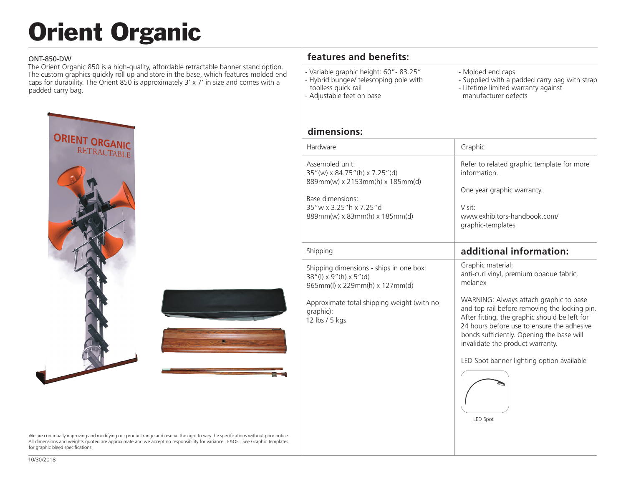# Orient Organic

#### ONT-850-DW

The Orient Organic 850 is a high-quality, affordable retractable banner stand option. The custom graphics quickly roll up and store in the base, which features molded end caps for durability. The Orient 850 is approximately 3' x 7' in size and comes with a padded carry bag.







We are continually improving and modifying our product range and reserve the right to vary the specifications without prior notice. All dimensions and weights quoted are approximate and we accept no responsibility for variance. E&OE. See Graphic Templates for graphic bleed specifications.

### **features and benefits:**

- Variable graphic height: 60"- 83.25" - Hybrid bungee/ telescoping pole with
- toolless quick rail
- Adjustable feet on base
- Molded end caps
- Supplied with a padded carry bag with strap
- Lifetime limited warranty against
- manufacturer defects

#### **dimensions:**

| Hardware                                                                                                                                                                          | Graphic                                                                                                                                                                                                                                                                                                              |
|-----------------------------------------------------------------------------------------------------------------------------------------------------------------------------------|----------------------------------------------------------------------------------------------------------------------------------------------------------------------------------------------------------------------------------------------------------------------------------------------------------------------|
| Assembled unit:<br>$35''(w) \times 84.75''(h) \times 7.25''(d)$<br>889mm(w) x 2153mm(h) x 185mm(d)<br>Base dimensions:<br>35"w x 3.25"h x 7.25"d<br>889mm(w) x 83mm(h) x 185mm(d) | Refer to related graphic template for more<br>information<br>One year graphic warranty.<br>Visit <sup>-</sup><br>www.exhibitors-handbook.com/<br>graphic-templates                                                                                                                                                   |
| Shipping                                                                                                                                                                          | additional information:                                                                                                                                                                                                                                                                                              |
| Shipping dimensions - ships in one box:<br>$38''$ (l) x 9"(h) x 5"(d)<br>$965mm(l)$ x 229mm(h) x 127mm(d)                                                                         | Graphic material:<br>anti-curl vinyl, premium opaque fabric,<br>melanex                                                                                                                                                                                                                                              |
| Approximate total shipping weight (with no<br>graphic):<br>12 lbs / 5 kgs                                                                                                         | WARNING: Always attach graphic to base<br>and top rail before removing the locking pin.<br>After fitting, the graphic should be left for<br>24 hours before use to ensure the adhesive<br>bonds sufficiently. Opening the base will<br>invalidate the product warranty.<br>LED Spot banner lighting option available |

LED Spot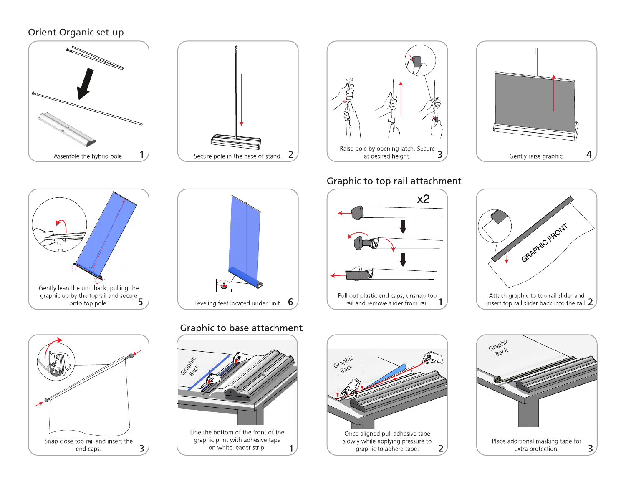#### Orient Organic set-up









## Graphic to top rail attachment